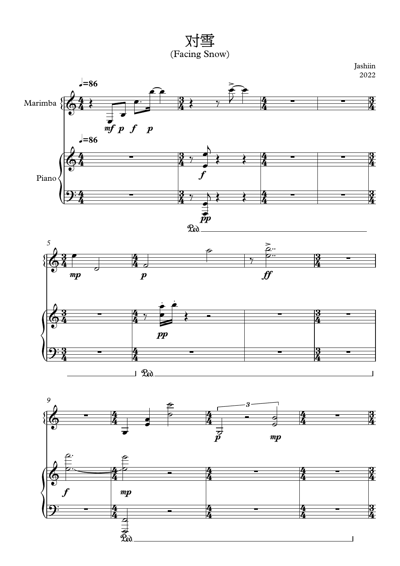对雪 (Facing Snow)

Jashiin

2022 q**=86** 4 <u>ង្</u> 4 <u>ង្</u> Marimba  $\frac{4}{4}$  $\frac{3}{4}$  $\frac{4}{4}$ <u>รี</u><br>4  $\frac{1}{\pi}$  <br>*mf* p f p  $\frac{1}{2}$ =86 4 3 4 <u>3ូ</u>  $\frac{4}{4}$  $\frac{3}{4}$  $\frac{4}{4}$  $\frac{3}{4}$  $\boldsymbol{f}$ Piano 4 <u>3ូ</u> 4 <u>3ូ</u>  $\frac{4}{4}$  $\frac{3}{4}$  $\frac{4}{4}$ 3<br>4  $\frac{1}{\overline{p}p}$ <br> $\frac{1}{2}$ *5* <u> ខ្ញុ</u> 4 <u> ខ្ញុ</u> 5.  $\frac{3}{4}$  $\frac{4}{4}$  $\frac{3}{4}$ mp  $p$  ff <u>ង្</u> 4 <u> ខ្ញុ</u>  $\frac{3}{4}$  $\frac{4}{4}$  $\frac{3}{4}$  $pp$ <u>ង្</u> 4 <u>3ូ</u> 3<br>4  $\frac{4}{4}$  $\frac{3}{4}$  $\perp$  Led. *9* 34 4 4 <u>3ូ</u>  $\frac{4}{4}$  $\frac{4}{4}$  $\frac{4}{4}$ 3<br>4  $\frac{1}{p}$  mp

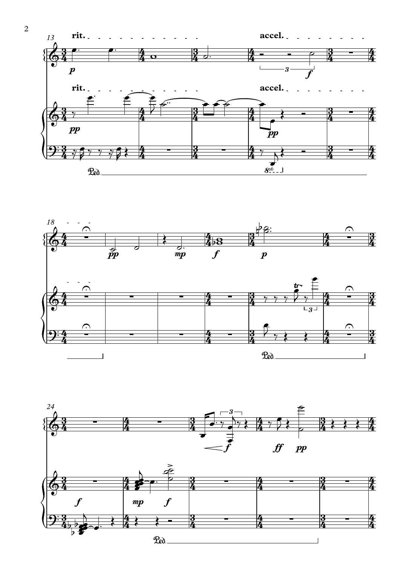



 $\mathfrak{D}$ ed.